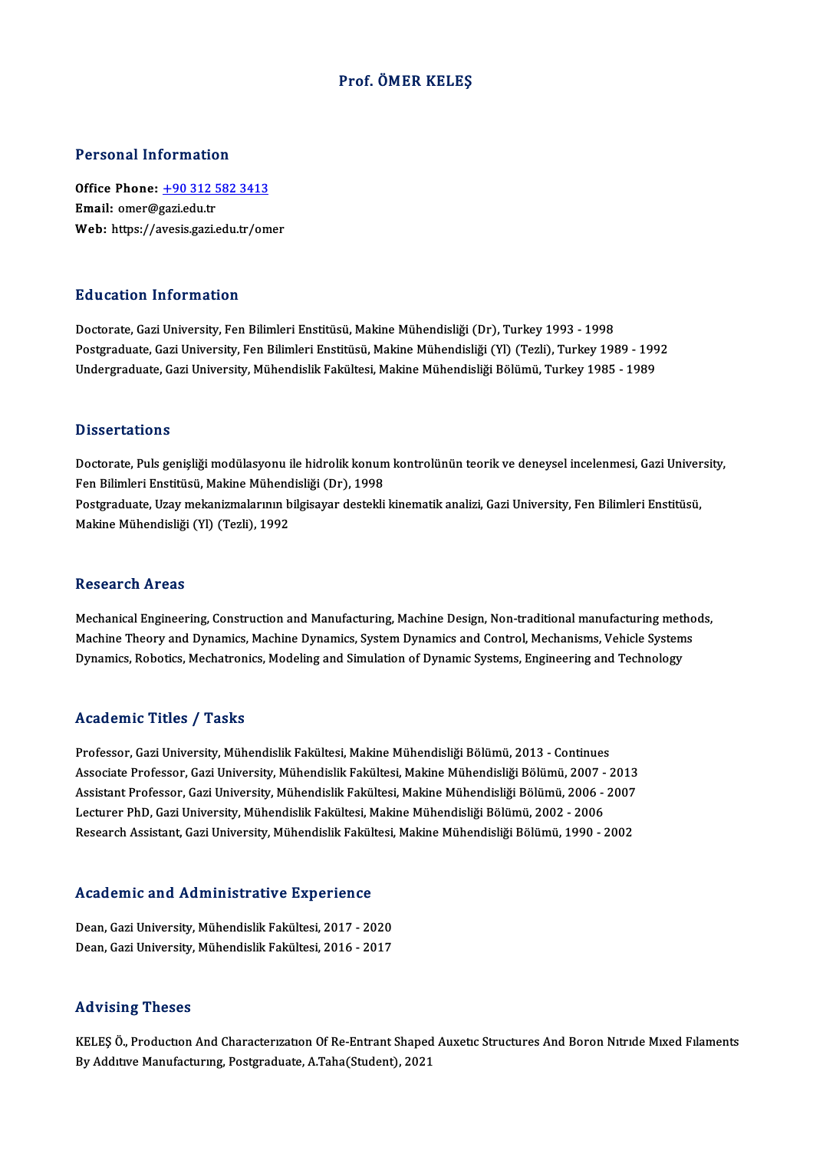#### Prof. ÖMER KELEŞ

#### Personal Information

Personal Information<br>Office Phone: <u>+90 312 582 3413</u><br>Email: emer@sari.edu.tr office Phone: <u>+90 312 5</u><br>Email: omer@gazi.edu.tr<br>Web. https://ayesis.com Email: omer@gazi.edu.tr<br>Web: https://a[vesis.gazi.edu.tr/om](tel:+90 312 582 3413)er

#### Education Information

Doctorate, Gazi University, Fen Bilimleri Enstitüsü, Makine Mühendisliği (Dr), Turkey 1993 - 1998 Pu u sutrom minominusion<br>Doctorate, Gazi University, Fen Bilimleri Enstitüsü, Makine Mühendisliği (Dr), Turkey 1993 - 1998<br>Postgraduate, Gazi University, Fen Bilimleri Enstitüsü, Makine Mühendisliği (Yl) (Tezli), Turkey 19 Doctorate, Gazi University, Fen Bilimleri Enstitüsü, Makine Mühendisliği (Dr), Turkey 1993 - 1998<br>Postgraduate, Gazi University, Fen Bilimleri Enstitüsü, Makine Mühendisliği (Yl) (Tezli), Turkey 1989 - 199<br>Undergraduate, G Undergraduate, Gazi University, Mühendislik Fakültesi, Makine Mühendisliği Bölümü, Turkey 1985 - 1989<br>Dissertations

Dissertations<br>Doctorate, Puls genişliği modülasyonu ile hidrolik konum kontrolünün teorik ve deneysel incelenmesi, Gazi University,<br>Fen Pilimleri Enstitüsü, Makine Mühendieliği (Dr), 1998 Basser tatrons<br>Doctorate, Puls genişliği modülasyonu ile hidrolik konun<br>Fen Bilimleri Enstitüsü, Makine Mühendisliği (Dr), 1998<br>Postanaduate, Uray makanismalarının bilgisayar destekli Doctorate, Puls genişliği modülasyonu ile hidrolik konum kontrolünün teorik ve deneysel incelenmesi, Gazi Univer<br>Fen Bilimleri Enstitüsü, Makine Mühendisliği (Dr), 1998<br>Postgraduate, Uzay mekanizmalarının bilgisayar destek Fen Bilimleri Enstitüsü, Makine Mühend<br>Postgraduate, Uzay mekanizmalarının b<br>Makine Mühendisliği (Yl) (Tezli), 1992 Makine Mühendisliği (Yl) (Tezli), 1992<br>Research Areas

Mechanical Engineering, Construction and Manufacturing, Machine Design, Non-traditional manufacturing methods, Mechanical Engineering, Construction and Manufacturing, Machine Design, Non-traditional manufacturing metho<br>Machine Theory and Dynamics, Machine Dynamics, System Dynamics and Control, Mechanisms, Vehicle Systems<br>Dynamics, Mechanical Engineering, Construction and Manufacturing, Machine Design, Non-traditional manufacturing meth<br>Machine Theory and Dynamics, Machine Dynamics, System Dynamics and Control, Mechanisms, Vehicle System<br>Dynamics, Ro Dynamics, Robotics, Mechatronics, Modeling and Simulation of Dynamic Systems, Engineering and Technology<br>Academic Titles / Tasks

Academic Titles / Tasks<br>Professor, Gazi University, Mühendislik Fakültesi, Makine Mühendisliği Bölümü, 2013 - Continues<br>Assesiste Professor, Gazi University, Mühendislik Fakültesi, Makine Mühendisliği Bölümü, 2007, G Associate Articus 7 Austis<br>Professor, Gazi University, Mühendislik Fakültesi, Makine Mühendisliği Bölümü, 2013 - Continues<br>Associate Professor, Gazi University, Mühendislik Fakültesi, Makine Mühendisliği Bölümü, 2007 - 201 Professor, Gazi University, Mühendislik Fakültesi, Makine Mühendisliği Bölümü, 2013 - Continues<br>Associate Professor, Gazi University, Mühendislik Fakültesi, Makine Mühendisliği Bölümü, 2007 - 2013<br>Assistant Professor, Gazi Associate Professor, Gazi University, Mühendislik Fakültesi, Makine Mühendisliği Bölümü, 2007 -<br>Assistant Professor, Gazi University, Mühendislik Fakültesi, Makine Mühendisliği Bölümü, 2006 -<br>Lecturer PhD, Gazi University, Assistant Professor, Gazi University, Mühendislik Fakültesi, Makine Mühendisliği Bölümü, 2006 - 2007<br>Lecturer PhD, Gazi University, Mühendislik Fakültesi, Makine Mühendisliği Bölümü, 2002 - 2006<br>Research Assistant, Gazi Un

# Research Assistant, Gazi University, Munendisik Fakult<br>Academic and Administrative Experience

Academic and Administrative Experience<br>Dean, Gazi University, Mühendislik Fakültesi, 2017 - 2020<br>Dean, Cazi University, Mühendislik Fakültesi, 2016 - 2017 Dean, Gazi University, Mühendislik Fakültesi, 2017 - 2020<br>Dean, Gazi University, Mühendislik Fakültesi, 2016 - 2017

#### Advising Theses

KELEŞ Ö., Production And Characterization Of Re-Entrant Shaped Auxetic Structures And Boron Nitride Mixed Filaments By Addıtıve Manufacturing, Postgraduate, A.Taha(Student), 2021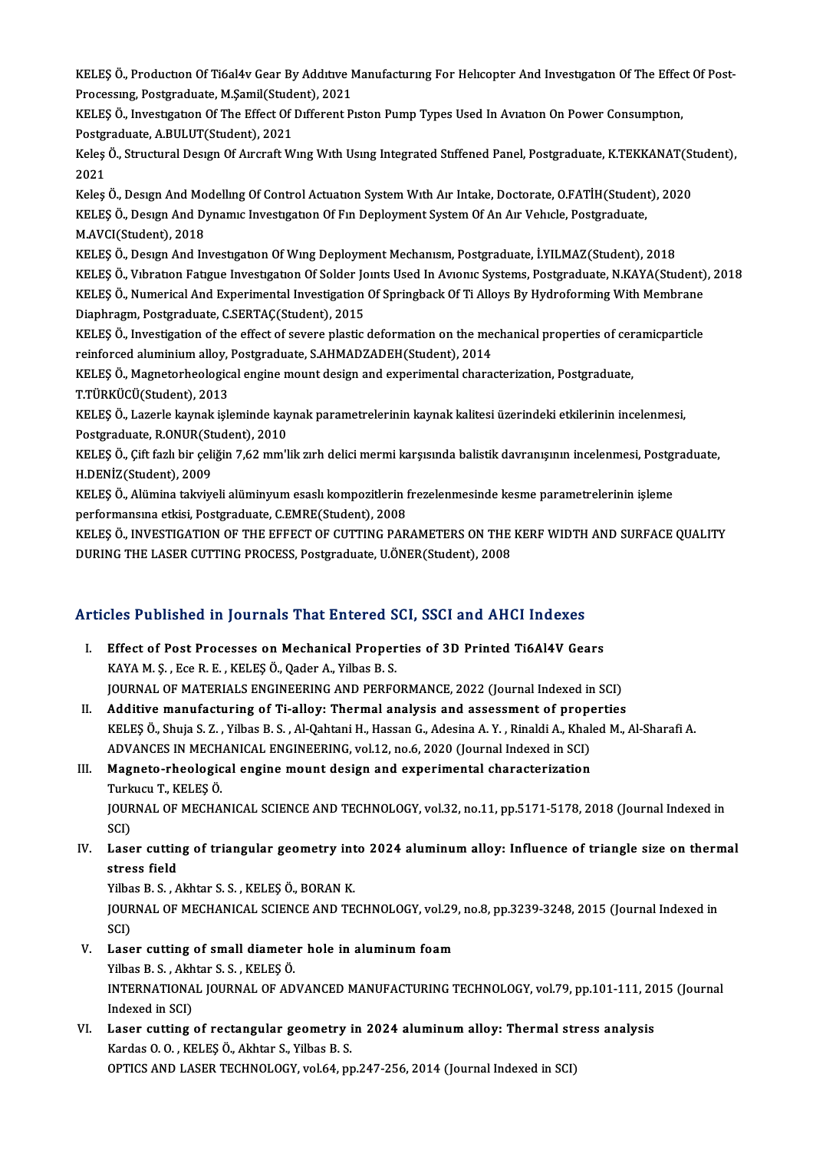KELEŞ Ö., Productıon Of Ti6al4v Gear By Addıtıve Manufacturıng For Helıcopter And Investıgatıon Of The Effect Of Post-<br>Prosessurs, Postaredusta M.Samil(Student), 2021 KELEŞ Ö., Production Of Ti6al4v Gear By Additive N<br>Processing, Postgraduate, M.Şamil(Student), 2021<br>KELES Ö. Javsetigation Of The Effect Of Different P KELEŞ Ö., Production Of Ti6al4v Gear By Additive Manufacturing For Helicopter And Investigation Of The Effec<br>Processing, Postgraduate, M.Şamil(Student), 2021<br>KELEŞ Ö., Investigation Of The Effect Of Different Piston Pump T

Processing, Postgraduate, M.Şamil(Student)<br>RELEŞ Ö., Investigation Of The Effect Of<br>Postgraduate, A.BULUT(Student), 2021<br>Kelse Ö. Strugturel Design Of August: W KELEŞ Ö., Investigation Of The Effect Of Different Piston Pump Types Used In Aviation On Power Consumption,<br>Postgraduate, A.BULUT(Student), 2021<br>Keleş Ö., Structural Design Of Aircraft Wing With Using Integrated Stiffened

Postgi<br>Keleş<br>2021<br>Keles Keleş Ö., Structural Design Of Aircraft Wing With Using Integrated Stiffened Panel, Postgraduate, K.TEKKANAT(St<br>2021<br>Keleş Ö., Design And Modelling Of Control Actuation System With Air Intake, Doctorate, O.FATİH(Student),

2021<br>Keleş Ö., Desıgn And Modelling Of Control Actuation System With Air Intake, Doctorate, O.FATİH(Student<br>KELEŞ Ö., Design And Dynamic Investigation Of Fin Deployment System Of An Air Vehicle, Postgraduate,<br>M AVCI(Studen Keleş Ö., Design And Mo<br>KELEŞ Ö., Design And D.<br>M.AVCI(Student), 2018<br>KELES Ö. Design And In KELEŞ Ö., Desıgn And Dynamıc Investigation Of Fin Deployment System Of An Air Vehicle, Postgraduate,<br>M.AVCI(Student), 2018<br>KELEŞ Ö., Design And Investigation Of Wing Deployment Mechanism, Postgraduate, İ.YILMAZ(Student), 2

M.AVCI(Student), 2018<br>KELEŞ Ö., Design And Investigation Of Wing Deployment Mechanism, Postgraduate, İ.YILMAZ(Student), 2018<br>KELEŞ Ö., Vibration Fatigue Investigation Of Solder Joints Used In Avionic Systems, Postgraduate, KELEŞ Ö., Design And Investigation Of Wing Deployment Mechanism, Postgraduate, İ.YILMAZ(Student), 2018<br>KELEŞ Ö., Vibration Fatigue Investigation Of Solder Joints Used In Avionic Systems, Postgraduate, N.KAYA(Student)<br>KELEŞ KELEŞ Ö., Vıbratıon Fatıgue Investıgatıon Of Solder Jone<br>KELEŞ Ö., Numerical And Experimental Investigation<br>Diaphragm, Postgraduate, C.SERTAÇ(Student), 2015<br>KELES Ö., Investigation of the effect of severe plastic KELEŞ Ö., Numerical And Experimental Investigation Of Springback Of Ti Alloys By Hydroforming With Membrane<br>Diaphragm, Postgraduate, C.SERTAÇ(Student), 2015<br>KELEŞ Ö., Investigation of the effect of severe plastic deformati

Diaphragm, Postgraduate, C.SERTAÇ(Student), 2015<br>KELEŞ Ö., Investigation of the effect of severe plastic deformation on the met<br>reinforced aluminium alloy, Postgraduate, S.AHMADZADEH(Student), 2014<br>KELES Ö. Magnatorhaalagi KELEŞ Ö., Investigation of the effect of severe plastic deformation on the mechanical properties of cer<br>reinforced aluminium alloy, Postgraduate, S.AHMADZADEH(Student), 2014<br>KELEŞ Ö., Magnetorheological engine mount design

reinforced aluminium alloy, Postgraduate, S.AHMADZADEH(Student), 2014<br>KELEŞ Ö., Magnetorheological engine mount design and experimental characterization, Postgraduate,<br>T.TÜRKÜCÜ(Student), 2013

KELES Ö., Lazerle kaynak isleminde kaynak parametrelerinin kaynak kalitesi üzerindeki etkilerinin incelenmesi, Postgraduate, R.ONUR(Student), 2010 KELEŞ Ö., Lazerle kaynak işleminde kaynak parametrelerinin kaynak kalitesi üzerindeki etkilerinin incelenmesi,<br>Postgraduate, R.ONUR(Student), 2010<br>KELEŞ Ö., Çift fazlı bir çeliğin 7,62 mm'lik zırh delici mermi karşısında b

Postgraduate, R.ONUR(St<br>KELEŞ Ö., Çift fazlı bir çeli<br>H.DENİZ(Student), 2009<br>KELES Ö. Alümina takıjıyı KELEŞ Ö., Çift fazlı bir çeliğin 7,62 mm'lik zırh delici mermi karşısında balistik davranışının incelenmesi, Postgı<br>H.DENİZ(Student), 2009<br>KELEŞ Ö., Alümina takviyeli alüminyum esaslı kompozitlerin frezelenmesinde kesme pa

H.DENİZ(Student), 2009<br>KELEŞ Ö., Alümina takviyeli alüminyum esaslı kompozitlerin frezelenmesinde kesme parametrelerinin işleme<br>performansına etkisi, Postgraduate, C.EMRE(Student), 2008

KELES Ö., INVESTIGATION OF THE EFFECT OF CUTTING PARAMETERS ON THE KERF WIDTH AND SURFACE QUALITY DURING THE LASER CUTTING PROCESS, Postgraduate, U.ÖNER(Student), 2008

### Articles Published in Journals That Entered SCI, SSCI and AHCI Indexes

- rticles Published in Journals That Entered SCI, SSCI and AHCI Indexes<br>I. Effect of Post Processes on Mechanical Properties of 3D Printed Ti6Al4V Gears KES TUSHENCU IN JOUTHULE THEY SHEET CU<br>Effect of Post Processes on Mechanical Proper<br>KAYA M. Ş. , Ece R. E. , KELEŞ Ö., Qader A., Yilbas B. S.<br>JOUPMAL OF MATERIALS ENCINEERING AND PEREC Effect of Post Processes on Mechanical Properties of 3D Printed Ti6Al4V Gears<br>KAYA M. Ş. , Ece R. E. , KELEŞ Ö., Qader A., Yilbas B. S.<br>JOURNAL OF MATERIALS ENGINEERING AND PERFORMANCE, 2022 (Journal Indexed in SCI)<br>Additi KAYA M. Ş. , Ece R. E. , KELEŞ Ö., Qader A., Yilbas B. S.<br>JOURNAL OF MATERIALS ENGINEERING AND PERFORMANCE, 2022 (Journal Indexed in SCI)<br>II. Additive manufacturing of Ti-alloy: Thermal analysis and assessment of propertie
- KELEŞ Ö., Shuja S. Z., Yilbas B. S., Al-Qahtani H., Hassan G., Adesina A. Y., Rinaldi A., Khaled M., Al-Sharafi A. Additive manufacturing of Ti-alloy: Thermal analysis and assessment of properties of properties in MECHANICAL ENGINEERING, vol.12, no.6, 2020 (Journal Indexed in SCI)<br>ADVANCES IN MECHANICAL ENGINEERING, vol.12, no.6, 2020 KELEŞ Ö., Shuja S. Z. , Yilbas B. S. , Al-Qahtani H., Hassan G., Adesina A. Y. , Rinaldi A., Khal<br>ADVANCES IN MECHANICAL ENGINEERING, vol.12, no.6, 2020 (Journal Indexed in SCI)<br>III. Magneto-rheological engine mount design

ADVANCES IN MECH.<br><mark>Magneto-rheologic</mark><br>Turkucu T., KELEŞ Ö.<br>JOUPNAL OF MECHA III. Magneto-rheological engine mount design and experimental characterization<br>Turkucu T., KELEŞ Ö.<br>JOURNAL OF MECHANICAL SCIENCE AND TECHNOLOGY, vol.32, no.11, pp.5171-5178, 2018 (Journal Indexed in<br>SCI) Turkucu T., KELEŞ Ö. JOURNAL OF MECHANICAL SCIENCE AND TECHNOLOGY, vol.32, no.11, pp.5171-5178, 2018 (Journal Indexed in<br>SCI)<br>IV. Laser cutting of triangular geometry into 2024 aluminum alloy: Influence of triangle size on thermal<br>strass field

# SCI)<br>Laser cuttin<br>stress field<br><sup>Vilbos B. S. A</sup> Laser cutting of triangular geometry int<br>stress field<br>Yilbas B.S., Akhtar S.S., KELEŞÖ., BORAN K.<br>JOUPNAL OF MECHANICAL SCIENCE AND TE

stress field<br>Yilbas B. S. , Akhtar S. S. , KELEŞ Ö., BORAN K.<br>JOURNAL OF MECHANICAL SCIENCE AND TECHNOLOGY, vol.29, no.8, pp.3239-3248, 2015 (Journal Indexed in<br>SCI) Yilbas B. S., Akhtar S. S., KELES Ö., BORAN K. JOURNAL OF MECHANICAL SCIENCE AND TECHNOLOGY, vol.29<br>SCI)<br>V. Laser cutting of small diameter hole in aluminum foam<br>Vilhag B. S. Althag S. S. KELES Ö

### SCI)<br>Laser cutting of small diamete<br>Yilbas B.S., Akhtar S.S., KELEŞÖ.<br>INTERNATIONAL JOURNAL OF AD. INTERNATIONAL JOURNAL OF ADVANCED MANUFACTURING TECHNOLOGY, vol.79, pp.101-111, 2015 (Journal Indexed in SCI) Yilbas B. S., Akhtar S. S., KELEŞ Ö. INTERNATIONAL JOURNAL OF ADVANCED MANUFACTURING TECHNOLOGY, vol.79, pp.101-111, 20<br>Indexed in SCI)<br>VI. Laser cutting of rectangular geometry in 2024 aluminum alloy: Thermal stress analysis<br>Kardas Q.Q. KELES Ö. Althan S. Vi

Indexed in SCI)<br>Laser cutting of rectangular geometry i<br>Kardas O. O. , KELEŞ Ö., Akhtar S., Yilbas B. S.<br>OPTICS AND LASER TECHNOLOCY, val 64. pr Laser cutting of rectangular geometry in 2024 aluminum alloy: Thermal str<br>Kardas O. O. , KELEŞ Ö., Akhtar S., Yilbas B. S.<br>OPTICS AND LASER TECHNOLOGY, vol.64, pp.247-256, 2014 (Journal Indexed in SCI)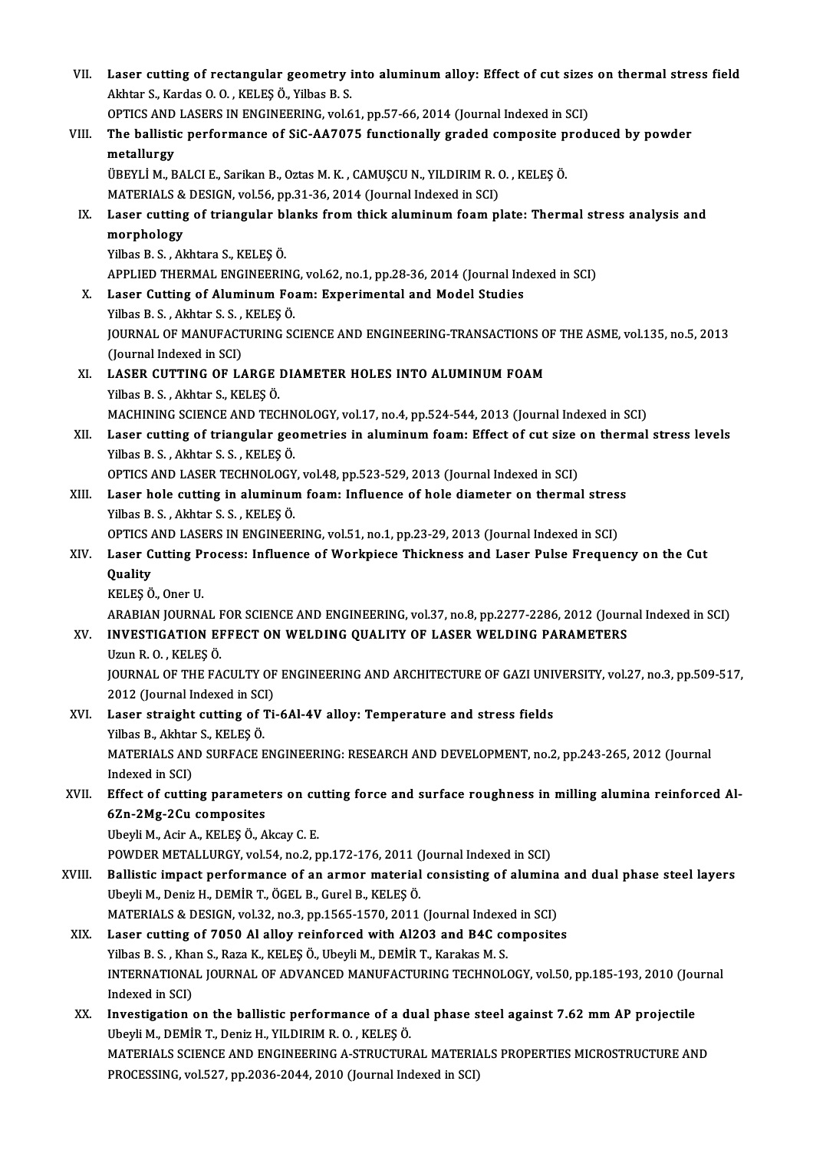VII. Laser cutting of rectangular geometry into aluminum alloy: Effect of cut sizes on thermal stress field<br>Althton S. Kardas Q. Q. KELES Ö. Vilbes B. S. Laser cutting of rectangular geometry i<br>Akhtar S., Kardas O. O. , KELEŞ Ö., Yilbas B. S.<br>OPTICS AND LASERS IN ENCINEERING vol 6 Laser cutting of rectangular geometry into aluminum alloy: Effect of cut sizes<br>Akhtar S., Kardas O. O. , KELEŞ Ö., Yilbas B. S.<br>OPTICS AND LASERS IN ENGINEERING, vol.61, pp.57-66, 2014 (Journal Indexed in SCI)<br>The ballisti Akhtar S., Kardas O. O. , KELEŞ Ö., Yilbas B. S.<br>OPTICS AND LASERS IN ENGINEERING, vol.61, pp.57-66, 2014 (Journal Indexed in SCI)<br>VIII. The ballistic performance of SiC-AA7075 functionally graded composite produced by **OPTICS AND<br>The ballisti<br>metallurgy<br>ÜPEVI İ M. P** The ballistic performance of SiC-AA7075 functionally graded composite p<br>metallurgy<br>ÜBEYLİ M., BALCI E., Sarikan B., Oztas M. K. , CAMUŞCU N., YILDIRIM R. O. , KELEŞ Ö.<br>MATERIALS & DESICN vel 56 np 31-36-2014 (Journal Indov metallurgy<br>ÜBEYLİ M., BALCI E., Sarikan B., Oztas M. K. , CAMUŞCU N., YILDIRIM R. O. , KELEŞ Ö. IX. Laser cutting of triangular blanks from thick aluminum foam plate: Thermal stress analysis and morphology MATERIALS & DESIGN, vol.56, pp.31-36, 2014 (Journal Indexed in SCI) YilbasB.S. ,Akhtara S.,KELEŞÖ. morphology<br>Yilbas B. S. , Akhtara S., KELEŞ Ö.<br>APPLIED THERMAL ENGINEERING, vol.62, no.1, pp.28-36, 2014 (Journal Indexed in SCI)<br>Laser Gutting of Aluminum Eoem: Experimental and Model Studies Yilbas B. S., Akhtara S., KELEŞ Ö.<br>APPLIED THERMAL ENGINEERING, vol.62, no.1, pp.28-36, 2014 (Journal Inc<br>X. Laser Cutting of Aluminum Foam: Experimental and Model Studies<br>Vilbas B. S. Alphan S. S., KELES Ö. APPLIED THERMAL ENGINEERING<br>Laser Cutting of Aluminum Fo:<br>Yilbas B. S. , Akhtar S. S. , KELEŞ Ö.<br>JOUPNAL OF MANUEACTUPING SG Laser Cutting of Aluminum Foam: Experimental and Model Studies<br>Yilbas B. S. , Akhtar S. S. , KELEŞ Ö.<br>JOURNAL OF MANUFACTURING SCIENCE AND ENGINEERING-TRANSACTIONS OF THE ASME, vol.135, no.5, 2013<br>(Journal Indoved in SCI) Yilbas B. S. , Akhtar S. S. ,<br>JOURNAL OF MANUFACT<br>(Journal Indexed in SCI)<br>LASER CUTTING OF LA JOURNAL OF MANUFACTURING SCIENCE AND ENGINEERING-TRANSACTIONS O<br>(Journal Indexed in SCI)<br>XI. LASER CUTTING OF LARGE DIAMETER HOLES INTO ALUMINUM FOAM<br>Vibec B. S. Alptar S. KELES Ö (Journal Indexed in SCI)<br>XI. LASER CUTTING OF LARGE DIAMETER HOLES INTO ALUMINUM FOAM<br>Yilbas B. S., Akhtar S., KELEŞÖ. LASER CUTTING OF LARGE DIAMETER HOLES INTO ALUMINUM FOAM<br>Yilbas B. S. , Akhtar S., KELEŞ Ö.<br>MACHINING SCIENCE AND TECHNOLOGY, vol.17, no.4, pp.524-544, 2013 (Journal Indexed in SCI)<br>Leser sutting of triangular geometries i Yilbas B. S. , Akhtar S., KELEŞ Ö.<br>MACHINING SCIENCE AND TECHNOLOGY, vol.17, no.4, pp.524-544, 2013 (Journal Indexed in SCI)<br>XII. Laser cutting of triangular geometries in aluminum foam: Effect of cut size on thermal s MACHINING SCIENCE AND TECHN<br>Laser cutting of triangular gec<br>Yilbas B.S., Akhtar S.S., KELEŞÖ.<br>OPTICS AND LASER TECHNOLOCY Laser cutting of triangular geometries in aluminum foam: Effect of cut size<br>Yilbas B. S. , Akhtar S. S. , KELEŞ Ö.<br>OPTICS AND LASER TECHNOLOGY, vol.48, pp.523-529, 2013 (Journal Indexed in SCI)<br>Laser hele cutting in alumin Yilbas B. S., Akhtar S. S., KELEŞ Ö.<br>OPTICS AND LASER TECHNOLOGY, vol.48, pp.523-529, 2013 (Journal Indexed in SCI)<br>XIII. Laser hole cutting in aluminum foam: Influence of hole diameter on thermal stress<br>Yilbas B. S., Akht OPTICS AND LASER TECHNOLOGY, vol.48, pp.523-529, 2013 (Journal Indexed in SCI) Laser hole cutting in aluminum foam: Influence of hole diameter on thermal stres:<br>Yilbas B. S., Akhtar S. S., KELEŞ Ö.<br>OPTICS AND LASERS IN ENGINEERING, vol.51, no.1, pp.23-29, 2013 (Journal Indexed in SCI)<br>Laser Cutting P Yilbas B. S. , Akhtar S. S. , KELEŞ Ö.<br>OPTICS AND LASERS IN ENGINEERING, vol.51, no.1, pp.23-29, 2013 (Journal Indexed in SCI)<br>XIV. Laser Cutting Process: Influence of Workpiece Thickness and Laser Pulse Frequency on t OPTICS<br>Laser C<br>Quality<br>KELES Ö Laser Cutting Pr<br>Quality<br>KELEŞ Ö., Oner U.<br>ARARIAN IQURNA **Quality**<br>KELEŞ Ö., Oner U.<br>ARABIAN JOURNAL FOR SCIENCE AND ENGINEERING, vol.37, no.8, pp.2277-2286, 2012 (Journal Indexed in SCI) KELEŞ Ö., Oner U.<br>ARABIAN JOURNAL FOR SCIENCE AND ENGINEERING, vol.37, no.8, pp.2277-2286, 2012 (Journ<br>XV. INVESTIGATION EFFECT ON WELDING QUALITY OF LASER WELDING PARAMETERS<br>Have B. O., KELES Ö. ARABIAN JOURNAL I<br>I**NVESTIGATION EI**<br>Uzun R. O. , KELEŞ Ö.<br>JOUPNAL OF TUE FA INVESTIGATION EFFECT ON WELDING QUALITY OF LASER WELDING PARAMETERS<br>Uzun R. O. , KELEŞ Ö.<br>JOURNAL OF THE FACULTY OF ENGINEERING AND ARCHITECTURE OF GAZI UNIVERSITY, vol.27, no.3, pp.509-517,<br>2012 (Journal Indoved in SCI) Uzun R. O. , KELEŞ Ö.<br>JOURNAL OF THE FACULTY OF<br>2012 (Journal Indexed in SCI)<br>Laser straisht sutting of Ti JOURNAL OF THE FACULTY OF ENGINEERING AND ARCHITECTURE OF GAZI UNIVALUATION: Temperature and stress fields<br>XVI. Laser straight cutting of Ti-6Al-4V alloy: Temperature and stress fields<br>Xibes B. Althan S. KELES Ö 2012 (Journal Indexed in SC.<br>Laser straight cutting of '<br>Yilbas B., Akhtar S., KELEŞÖ.<br>MATEPIALS AND SUPEACE E Laser straight cutting of Ti-6Al-4V alloy: Temperature and stress fields<br>Yilbas B., Akhtar S., KELEŞ Ö.<br>MATERIALS AND SURFACE ENGINEERING: RESEARCH AND DEVELOPMENT, no.2, pp.243-265, 2012 (Journal<br>Indeved in SCD. Yilbas B., Akhtar<br>MATERIALS AN<br>Indexed in SCI)<br>Effect of cutti MATERIALS AND SURFACE ENGINEERING: RESEARCH AND DEVELOPMENT, no.2, pp.243-265, 2012 (Journal<br>Indexed in SCI)<br>XVII. Effect of cutting parameters on cutting force and surface roughness in milling alumina reinforced Al-<br>67n 2 Indexed in SCI)<br>Effect of cutting paramete<br>6Zn-2Mg-2Cu composites<br><sup>Ubovli Madra KELESÖA</sup> 6Zn-2Mg-2Cu composites<br>Ubeyli M., Acir A., KELEŞ Ö., Akcay C. E. POWDER METALLURGY, vol.54, no.2, pp.172-176, 2011 (Journal Indexed in SCI) Ubeyli M., Acir A., KELEŞ Ö., Akcay C. E.<br>POWDER METALLURGY, vol.54, no.2, pp.172-176, 2011 (Journal Indexed in SCI)<br>XVIII. Ballistic impact performance of an armor material consisting of alumina and dual phase steel layer POWDER METALLURGY, vol.54, no.2, pp.172-176, 2011 (<br>Ballistic impact performance of an armor material<br>Ubeyli M., Deniz H., DEMİR T., ÖGEL B., Gurel B., KELEŞ Ö.<br>MATERIALS & DESICN vol.32, no.3, nn.1565, 1570, 2011 Ballistic impact performance of an armor material consisting of alumina<br>Ubeyli M., Deniz H., DEMİR T., ÖGEL B., Gurel B., KELEŞ Ö.<br>MATERIALS & DESIGN, vol.32, no.3, pp.1565-1570, 2011 (Journal Indexed in SCI)<br>Laser sutting Ubeyli M., Deniz H., DEMİR T., ÖGEL B., Gurel B., KELEŞ Ö.<br>MATERIALS & DESIGN, vol.32, no.3, pp.1565-1570, 2011 (Journal Indexed in SCI)<br>XIX. Laser cutting of 7050 Al alloy reinforced with Al2O3 and B4C composites<br>Yilbas B MATERIALS & DESIGN, vol.32, no.3, pp.1565-1570, 2011 (Journal Indexed in SCI) Laser cutting of 7050 Al alloy reinforced with Al2O3 and B4C composites<br>Yilbas B. S. , Khan S., Raza K., KELEŞ Ö., Ubeyli M., DEMİR T., Karakas M. S.<br>INTERNATIONAL JOURNAL OF ADVANCED MANUFACTURING TECHNOLOGY, vol.50, pp.1 Yilbas B. S. , Kha<br>INTERNATIONA<br>Indexed in SCI)<br>Investigation INTERNATIONAL JOURNAL OF ADVANCED MANUFACTURING TECHNOLOGY, vol.50, pp.185-193, 2010 (Journal)<br>Indexed in SCI)<br>XX. Investigation on the ballistic performance of a dual phase steel against 7.62 mm AP projectile<br>Interli M. D Indexed in SCI)<br>XX. Investigation on the ballistic performance of a dual phase steel against 7.62 mm AP projectile<br>Ubeyli M., DEMİR T., Deniz H., YILDIRIM R. O., KELEŞ Ö. MATERIALS SCIENCE AND ENGINEERING A-STRUCTURAL MATERIALS PROPERTIES MICROSTRUCTURE AND PROCESSING, vol.527, pp.2036-2044, 2010 (Journal Indexed in SCI)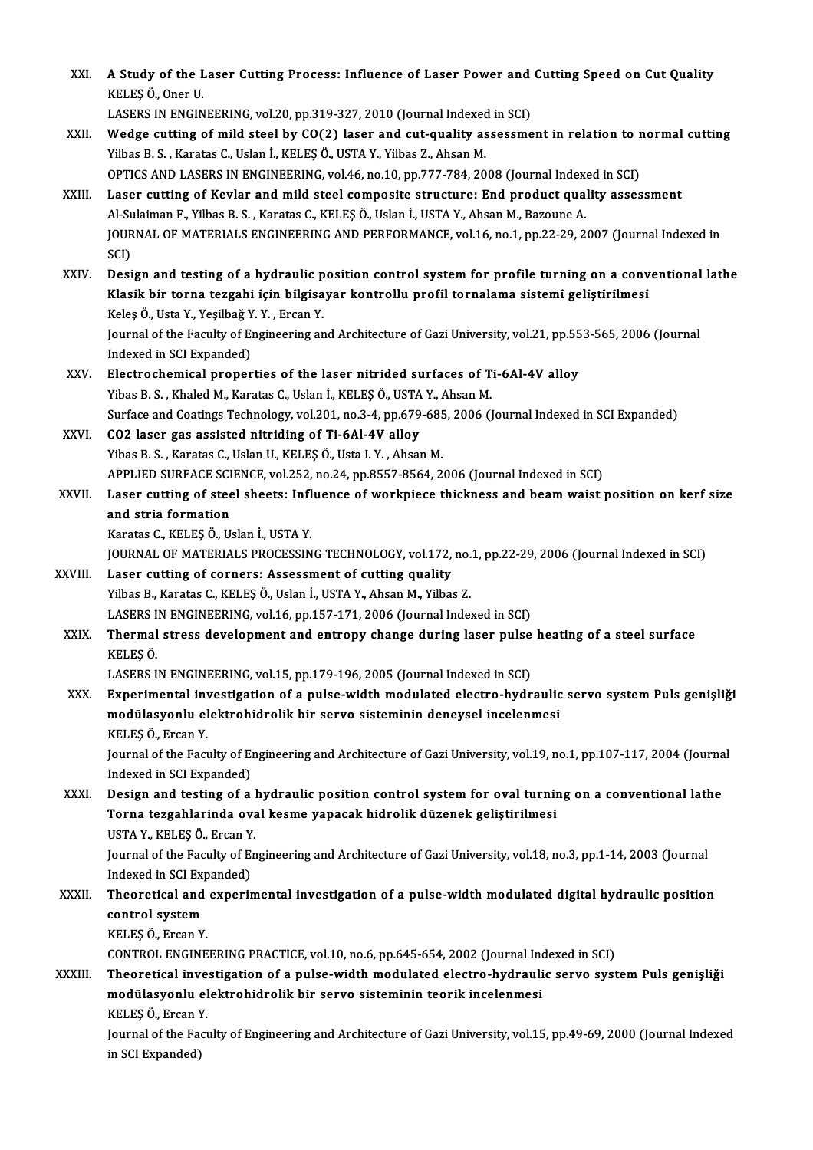| XXI.         | A Study of the Laser Cutting Process: Influence of Laser Power and Cutting Speed on Cut Quality<br>KELEŞ Ö, Oner U<br>LASERS IN ENGINEERING, vol.20, pp.319-327, 2010 (Journal Indexed in SCI)                                                                                                                                                                                                 |
|--------------|------------------------------------------------------------------------------------------------------------------------------------------------------------------------------------------------------------------------------------------------------------------------------------------------------------------------------------------------------------------------------------------------|
| XXII.        | Wedge cutting of mild steel by CO(2) laser and cut-quality assessment in relation to normal cutting<br>Yilbas B. S., Karatas C., Uslan İ., KELEŞ Ö., USTA Y., Yilbas Z., Ahsan M.<br>OPTICS AND LASERS IN ENGINEERING, vol.46, no.10, pp.777-784, 2008 (Journal Indexed in SCI)                                                                                                                |
| XXIII.       | Laser cutting of Kevlar and mild steel composite structure: End product quality assessment                                                                                                                                                                                                                                                                                                     |
|              | Al-Sulaiman F., Yilbas B. S., Karatas C., KELEŞ Ö., Uslan İ., USTA Y., Ahsan M., Bazoune A.<br>JOURNAL OF MATERIALS ENGINEERING AND PERFORMANCE, vol.16, no.1, pp.22-29, 2007 (Journal Indexed in<br>SCI)                                                                                                                                                                                      |
| XXIV         | Design and testing of a hydraulic position control system for profile turning on a conventional lathe<br>Klasik bir torna tezgahi için bilgisayar kontrollu profil tornalama sistemi geliştirilmesi<br>Keleş Ö., Usta Y., Yeşilbağ Y. Y., Ercan Y.<br>Journal of the Faculty of Engineering and Architecture of Gazi University, vol.21, pp.553-565, 2006 (Journal<br>Indexed in SCI Expanded) |
| XXV.         | Electrochemical properties of the laser nitrided surfaces of Ti-6Al-4V alloy<br>Yibas B. S., Khaled M., Karatas C., Uslan İ., KELEŞ Ö., USTA Y., Ahsan M.                                                                                                                                                                                                                                      |
|              | Surface and Coatings Technology, vol.201, no.3-4, pp.679-685, 2006 (Journal Indexed in SCI Expanded)                                                                                                                                                                                                                                                                                           |
| XXVI.        | CO2 laser gas assisted nitriding of Ti-6Al-4V alloy                                                                                                                                                                                                                                                                                                                                            |
|              | Yibas B. S., Karatas C., Uslan U., KELEŞ Ö., Usta I. Y., Ahsan M.                                                                                                                                                                                                                                                                                                                              |
|              | APPLIED SURFACE SCIENCE, vol.252, no.24, pp.8557-8564, 2006 (Journal Indexed in SCI)                                                                                                                                                                                                                                                                                                           |
| <b>XXVII</b> | Laser cutting of steel sheets: Influence of workpiece thickness and beam waist position on kerf size                                                                                                                                                                                                                                                                                           |
|              | and stria formation                                                                                                                                                                                                                                                                                                                                                                            |
|              | Karatas C., KELEŞ Ö., Uslan İ., USTA Y.                                                                                                                                                                                                                                                                                                                                                        |
|              | JOURNAL OF MATERIALS PROCESSING TECHNOLOGY, vol.172, no.1, pp.22-29, 2006 (Journal Indexed in SCI)                                                                                                                                                                                                                                                                                             |
| XXVIII.      | Laser cutting of corners: Assessment of cutting quality                                                                                                                                                                                                                                                                                                                                        |
|              | Yilbas B., Karatas C., KELEŞ Ö., Uslan İ., USTA Y., Ahsan M., Yilbas Z.                                                                                                                                                                                                                                                                                                                        |
|              | LASERS IN ENGINEERING, vol.16, pp.157-171, 2006 (Journal Indexed in SCI)                                                                                                                                                                                                                                                                                                                       |
| <b>XXIX</b>  | Thermal stress development and entropy change during laser pulse heating of a steel surface<br>KELES <sub>Ö</sub>                                                                                                                                                                                                                                                                              |
|              | LASERS IN ENGINEERING, vol.15, pp.179-196, 2005 (Journal Indexed in SCI)                                                                                                                                                                                                                                                                                                                       |
| XXX.         | Experimental investigation of a pulse-width modulated electro-hydraulic servo system Puls genişliği<br>modülasyonlu elektrohidrolik bir servo sisteminin deneysel incelenmesi<br>KELES Ö., Ercan Y.                                                                                                                                                                                            |
|              | Journal of the Faculty of Engineering and Architecture of Gazi University, vol.19, no.1, pp.107-117, 2004 (Journal<br>Indexed in SCI Expanded)                                                                                                                                                                                                                                                 |
| XXXI.        | Design and testing of a hydraulic position control system for oval turning on a conventional lathe<br>Torna tezgahlarinda oval kesme yapacak hidrolik düzenek geliştirilmesi<br>USTA Y., KELEŞ Ö., Ercan Y.                                                                                                                                                                                    |
|              | Journal of the Faculty of Engineering and Architecture of Gazi University, vol.18, no.3, pp.1-14, 2003 (Journal<br>Indexed in SCI Expanded)                                                                                                                                                                                                                                                    |
| XXXII.       | Theoretical and experimental investigation of a pulse-width modulated digital hydraulic position                                                                                                                                                                                                                                                                                               |
|              | control system                                                                                                                                                                                                                                                                                                                                                                                 |
|              | KELEŞ Ö., Ercan Y.                                                                                                                                                                                                                                                                                                                                                                             |
|              | CONTROL ENGINEERING PRACTICE, vol.10, no.6, pp.645-654, 2002 (Journal Indexed in SCI)                                                                                                                                                                                                                                                                                                          |
| XXXIII.      | Theoretical investigation of a pulse-width modulated electro-hydraulic servo system Puls genişliği                                                                                                                                                                                                                                                                                             |
|              | modülasyonlu elektrohidrolik bir servo sisteminin teorik incelenmesi                                                                                                                                                                                                                                                                                                                           |
|              | KELEŞ Ö., Ercan Y                                                                                                                                                                                                                                                                                                                                                                              |
|              | Journal of the Faculty of Engineering and Architecture of Gazi University, vol.15, pp.49-69, 2000 (Journal Indexed<br>in SCI Expanded)                                                                                                                                                                                                                                                         |
|              |                                                                                                                                                                                                                                                                                                                                                                                                |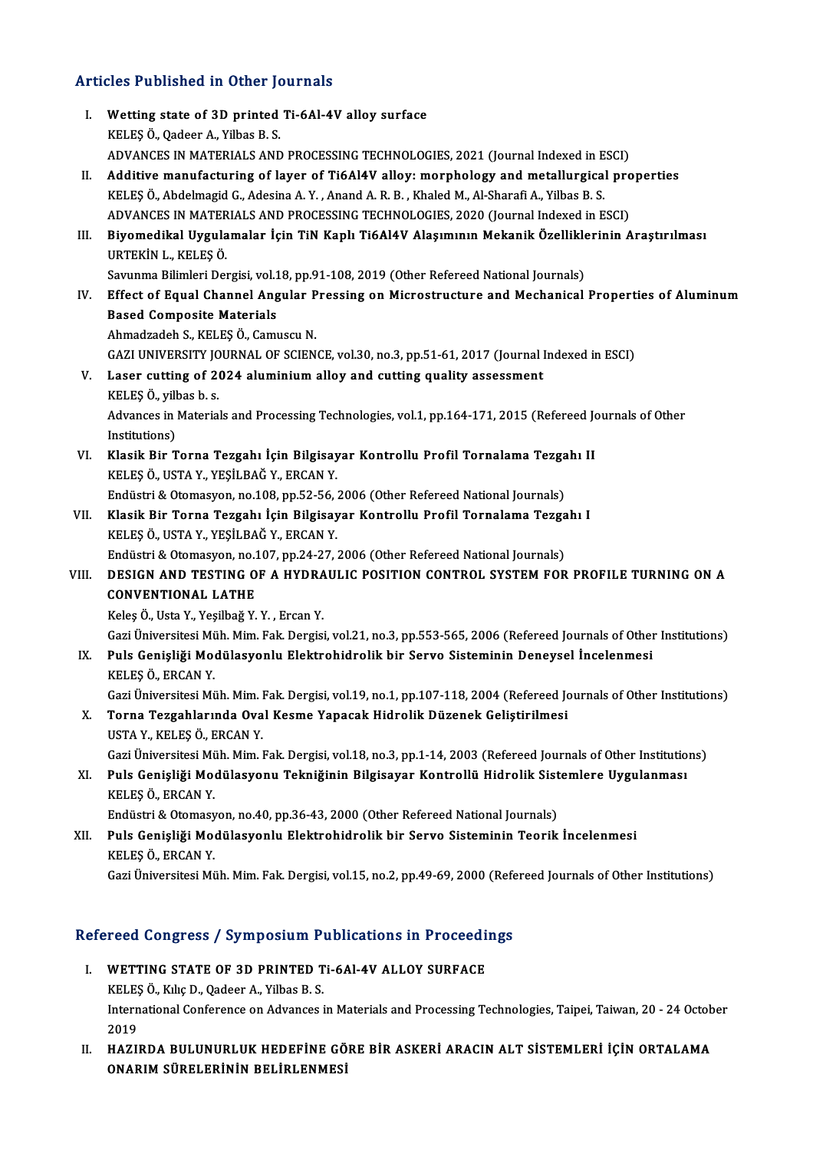# Articles Published in Other Journals

| <b>Articles Published in Other Journals</b>               |                                                                                                                                                                                                             |  |
|-----------------------------------------------------------|-------------------------------------------------------------------------------------------------------------------------------------------------------------------------------------------------------------|--|
| L.                                                        | Wetting state of 3D printed Ti-6Al-4V alloy surface<br>KELES Ö., Qadeer A., Yilbas B. S.                                                                                                                    |  |
|                                                           | ADVANCES IN MATERIALS AND PROCESSING TECHNOLOGIES, 2021 (Journal Indexed in ESCI)                                                                                                                           |  |
| П.                                                        | Additive manufacturing of layer of Ti6Al4V alloy: morphology and metallurgical properties                                                                                                                   |  |
|                                                           | KELEŞ Ö., Abdelmagid G., Adesina A. Y., Anand A. R. B., Khaled M., Al-Sharafi A., Yilbas B. S.                                                                                                              |  |
|                                                           | ADVANCES IN MATERIALS AND PROCESSING TECHNOLOGIES, 2020 (Journal Indexed in ESCI)                                                                                                                           |  |
| III.                                                      | Biyomedikal Uygulamalar İçin TiN Kaplı Ti6Al4V Alaşımının Mekanik Özelliklerinin Araştırılması<br>URTEKİN L., KELEŞ Ö.                                                                                      |  |
|                                                           | Savunma Bilimleri Dergisi, vol.18, pp.91-108, 2019 (Other Refereed National Journals)                                                                                                                       |  |
| IV.                                                       | Effect of Equal Channel Angular Pressing on Microstructure and Mechanical Properties of Aluminum                                                                                                            |  |
|                                                           | <b>Based Composite Materials</b>                                                                                                                                                                            |  |
|                                                           | Ahmadzadeh S., KELEŞ Ö., Camuscu N.                                                                                                                                                                         |  |
|                                                           | GAZI UNIVERSITY JOURNAL OF SCIENCE, vol.30, no.3, pp.51-61, 2017 (Journal Indexed in ESCI)                                                                                                                  |  |
| V.                                                        | Laser cutting of 2024 aluminium alloy and cutting quality assessment<br>KELES Ö., yilbas b. s.                                                                                                              |  |
|                                                           | Advances in Materials and Processing Technologies, vol.1, pp.164-171, 2015 (Refereed Journals of Other<br>Institutions)                                                                                     |  |
| VI.                                                       | Klasik Bir Torna Tezgahı İçin Bilgisayar Kontrollu Profil Tornalama Tezgahı II                                                                                                                              |  |
|                                                           | KELEŞ Ö., USTA Y., YEŞİLBAĞ Y., ERCAN Y.                                                                                                                                                                    |  |
|                                                           | Endüstri & Otomasyon, no.108, pp.52-56, 2006 (Other Refereed National Journals)                                                                                                                             |  |
| VII.                                                      | Klasik Bir Torna Tezgahı İçin Bilgisayar Kontrollu Profil Tornalama Tezgahı I<br>KELEŞ Ö., USTA Y., YEŞİLBAĞ Y., ERCAN Y.                                                                                   |  |
|                                                           | Endüstri & Otomasyon, no.107, pp.24-27, 2006 (Other Refereed National Journals)                                                                                                                             |  |
| VIII.                                                     | DESIGN AND TESTING OF A HYDRAULIC POSITION CONTROL SYSTEM FOR PROFILE TURNING ON A<br><b>CONVENTIONAL LATHE</b>                                                                                             |  |
|                                                           | Keleş Ö., Usta Y., Yeşilbağ Y. Y., Ercan Y.                                                                                                                                                                 |  |
| IX.                                                       | Gazi Üniversitesi Müh. Mim. Fak. Dergisi, vol.21, no.3, pp.553-565, 2006 (Refereed Journals of Other Institutions)<br>Puls Genişliği Modülasyonlu Elektrohidrolik bir Servo Sisteminin Deneysel İncelenmesi |  |
|                                                           | KELES Ö. ERCAN Y                                                                                                                                                                                            |  |
|                                                           | Gazi Üniversitesi Müh. Mim. Fak. Dergisi, vol.19, no.1, pp.107-118, 2004 (Refereed Journals of Other Institutions)                                                                                          |  |
| X.                                                        | Torna Tezgahlarında Oval Kesme Yapacak Hidrolik Düzenek Geliştirilmesi                                                                                                                                      |  |
|                                                           | USTA Y., KELEŞ Ö., ERCAN Y.                                                                                                                                                                                 |  |
|                                                           | Gazi Üniversitesi Müh. Mim. Fak. Dergisi, vol.18, no.3, pp.1-14, 2003 (Refereed Journals of Other Institutions)                                                                                             |  |
| XI.                                                       | Puls Genişliği Modülasyonu Tekniğinin Bilgisayar Kontrollü Hidrolik Sistemlere Uygulanması<br>KELEŞ Ö, ERCAN Y                                                                                              |  |
|                                                           | Endüstri & Otomasyon, no.40, pp.36-43, 2000 (Other Refereed National Journals)                                                                                                                              |  |
| XII.                                                      | Puls Genişliği Modülasyonlu Elektrohidrolik bir Servo Sisteminin Teorik İncelenmesi<br>KELEŞ Ö, ERCAN Y                                                                                                     |  |
|                                                           | Gazi Üniversitesi Müh. Mim. Fak. Dergisi, vol.15, no.2, pp.49-69, 2000 (Refereed Journals of Other Institutions)                                                                                            |  |
|                                                           |                                                                                                                                                                                                             |  |
| Refereed Congress / Symposium Publications in Proceedings |                                                                                                                                                                                                             |  |

- efereed Congress / Symposium Publications in Proceedi<br>I. WETTING STATE OF 3D PRINTED Ti-6Al-4V ALLOY SURFACE<br>KELES O, Kiko D, Osdeer A, Vilhes B, S I. WETTING STATE OF 3D PRINTED Ti-6Al-4V ALLOY SURFACE<br>KELEŞÖ., Kılıç D., Qadeer A., Yilbas B. S. WETTING STATE OF 3D PRINTED Ti-6Al-4V ALLOY SURFACE<br>KELEŞ Ö., Kılıç D., Qadeer A., Yilbas B. S.<br>International Conference on Advances in Materials and Processing Technologies, Taipei, Taiwan, 20 - 24 October<br>2019 ELES<br>Intern<br>2019<br>HAZU International Conference on Advances in Materials and Processing Technologies, Taipei, Taiwan, 20 - 24 Octob<br>2019<br>II. HAZIRDA BULUNURLUK HEDEFİNE GÖRE BİR ASKERİ ARACIN ALT SİSTEMLERİ İÇİN ORTALAMA<br>ONARIM SÜRELERİNIN RELİR
- 2019<br>HAZIRDA BULUNURLUK HEDEFİNE GÖ<br>ONARIM SÜRELERİNİN BELİRLENMESİ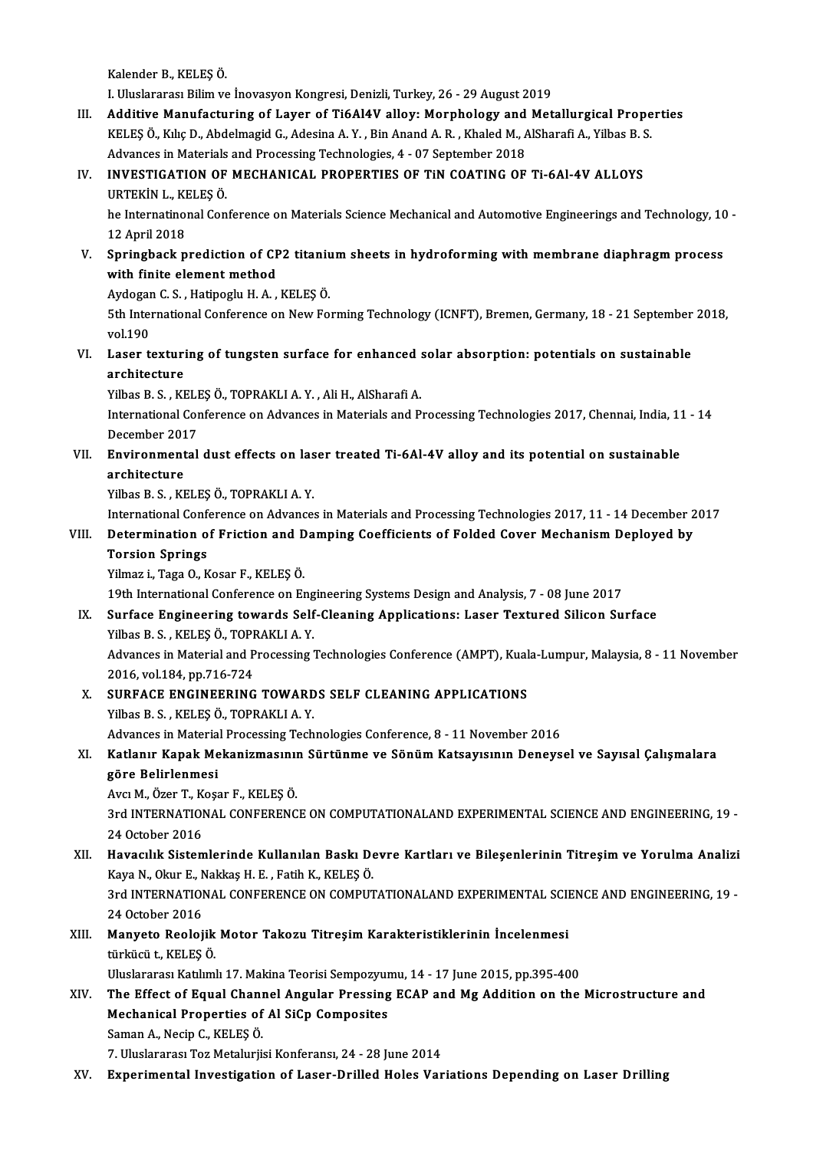Kalender B., KELEŞÖ.

I.UluslararasıBilimve İnovasyonKongresi,Denizli,Turkey,26 -29August2019

Kalender B., KELEŞ Ö.<br>I. Uluslararası Bilim ve İnovasyon Kongresi, Denizli, Turkey, 26 - 29 August 2019<br>III. Additive Manufacturing of Layer of Ti6Al4V alloy: Morphology and Metallurgical Properties I. Uluslararası Bilim ve İnovasyon Kongresi, Denizli, Turkey, 26 - 29 August 2019<br>Additive Manufacturing of Layer of Ti6Al4V alloy: Morphology and Metallurgical Prope<br>KELEŞ Ö., Kılıç D., Abdelmagid G., Adesina A.Y. , Bin A Additive Manufacturing of Layer of Ti6Al4V alloy: Morphology and<br>KELEŞ Ö., Kılıç D., Abdelmagid G., Adesina A. Y. , Bin Anand A. R. , Khaled M., *A*<br>Advances in Materials and Processing Technologies, 4 - 07 September 2018<br> KELEŞ Ö., Kılıç D., Abdelmagid G., Adesina A. Y., Bin Anand A. R., Khaled M., AlSharafi A., Yilbas B. S.<br>Advances in Materials and Processing Technologies, 4 - 07 September 2018<br>IV. INVESTIGATION OF MECHANICAL PROPERTIES O

### Advances in Materials<br>INVESTIGATION OF<br>URTEKİN L., KELEŞ Ö.<br>be Internatinenal Cen URTEKİN L., KELEŞ Ö.

he Internatinonal Conference on Materials Science Mechanical and Automotive Engineerings and Technology, 10 -<br>12 April 2018 Internatinonal Conference on Materials Science Mechanical and Automotive Engineerings and Technology, 10<br>12 April 2018<br>V. Springback prediction of CP2 titanium sheets in hydroforming with membrane diaphragm process<br>with fi

### with finite element method<br>Aydogan C. S., Hatipoglu H. A., KELES Ö. Springback prediction of CP2 titaniu<br>with finite element method<br>Aydogan C.S., Hatipoglu H.A., KELEŞÖ.<br>Eth International Conference on Naw Fo

with finite element method<br>Aydogan C. S. , Hatipoglu H. A. , KELEŞ Ö.<br>5th International Conference on New Forming Technology (ICNFT), Bremen, Germany, 18 - 21 September 2018,<br>vel 190. Aydogar<br>5th Inter<br>vol.190 5th International Conference on New Forming Technology (ICNFT), Bremen, Germany, 18 - 21 September<br>vol.190<br>VI. Laser texturing of tungsten surface for enhanced solar absorption: potentials on sustainable<br>applitediums

# vol.190<br>Laser texturi<br>architecture<br><sup>Vilbec P. S., VI</sub></sup> Laser texturing of tungsten surface for enhanced :<br>architecture<br>Yilbas B.S., KELEŞÖ., TOPRAKLI A.Y., Ali H., AlSharafi A.<br>International Conference on Advances in Materials and B.

architecture<br>Yilbas B. S. , KELEŞ Ö., TOPRAKLI A. Y. , Ali H., AlSharafi A.<br>International Conference on Advances in Materials and Processing Technologies 2017, Chennai, India, 11 - 14<br>December 2017 Yilbas B. S., KELES Ö., TOPRAKLI A. Y., Ali H., AlSharafi A. International Conference on Advances in Materials and Processing Technologies 2017, Chennai, India, 11<br>December 2017<br>VII. Environmental dust effects on laser treated Ti-6Al-4V alloy and its potential on sustainable<br>anchite

## December 201<br>Environment<br>architecture<br><sup>Vilbas B.S. Kr</sup> Environmental dust effects on las<br>architecture<br>Yilbas B. S. , KELEŞ Ö., TOPRAKLI A. Y.<br>International Conference on Advance architecture<br>Yilbas B. S. , KELEŞ Ö., TOPRAKLI A. Y.<br>International Conference on Advances in Materials and Processing Technologies 2017, 11 - 14 December 2017<br>Determination of Eriction and Damping Coofficients of Eolded Co

### Yilbas B. S. , KELEŞ Ö., TOPRAKLI A. Y.<br>International Conference on Advances in Materials and Processing Technologies 2017, 11 - 14 December 2<br>VIII. Determination of Friction and Damping Coefficients of Folded Cover Mechan International Confi<br>Determination o<br>Torsion Springs<br><sup>Vilmoni, Togo O. V</sup> VIII. Determination of Friction and Damping Coefficients of Folded Cover Mechanism Deployed by<br>Torsion Springs<br>Yilmaz i., Taga O., Kosar F., KELEŞÖ.

19th InternationalConference onEngineering SystemsDesignandAnalysis,7 -08 June 2017

IX. Surface Engineering towards Self-Cleaning Applications: Laser Textured Silicon Surface 19th International Conference on Eng<br>Surface Engineering towards Self<br>Yilbas B. S., KELEŞÖ., TOPRAKLI A. Y. Advances in Material and Processing Technologies Conference (AMPT), Kuala-Lumpur, Malaysia, 8 - 11 November 2016, vol.184, pp.716-724 Yilbas B. S. , KELEŞ Ö., TOPF<br>Advances in Material and P<br>2016, vol.184, pp.716-724<br>SUPEACE ENGINEEPINC Advances in Material and Processing Technologies Conference (AMPT), Kual<br>2016, vol.184, pp.716-724<br>X. SURFACE ENGINEERING TOWARDS SELF CLEANING APPLICATIONS<br>Vilbee B.S., KELES Ö. TOPPAKLI A. V.

2016, vol.184, pp.716-724<br>SURFACE ENGINEERING TOWARD<br>Yilbas B. S. , KELEŞ Ö., TOPRAKLI A. Y.<br>Advances in Material Processing Tech SURFACE ENGINEERING TOWARDS SELF CLEANING APPLICATIONS<br>Yilbas B. S. , KELEŞ Ö., TOPRAKLI A. Y.<br>Advances in Material Processing Technologies Conference, 8 - 11 November 2016<br>Katlanın Kanak Makaniumaaının Süntünma ve Sönüm K

## Yilbas B. S. , KELEŞ Ö., TOPRAKLI A. Y.<br>Advances in Material Processing Technologies Conference, 8 - 11 November 2016<br>XI. Katlanır Kapak Mekanizmasının Sürtünme ve Sönüm Katsayısının Deneysel ve Sayısal Çalışmalara<br>Gön Advances in Materia<br>Katlanır Kapak Me<br>göre Belirlenmesi<br>Ava M. Ösen T. Kess Katlanır Kapak Mekanizmasınıı<br>göre Belirlenmesi<br>Avcı M., Özer T., Koşar F., KELEŞ Ö.<br>2rd INTERNATIONAL CONEERENC

göre Belirlenmesi<br>Avcı M., Özer T., Koşar F., KELEŞ Ö.<br>3rd INTERNATIONAL CONFERENCE ON COMPUTATIONALAND EXPERIMENTAL SCIENCE AND ENGINEERING, 19 -<br>24 Osteber 2016 Avcı M., Özer T., K.<br>3rd INTERNATIOI<br>24 October 2016<br>Havacılık Sistar 3rd INTERNATIONAL CONFERENCE ON COMPUTATIONALAND EXPERIMENTAL SCIENCE AND ENGINEERING, 19 -<br>24 October 2016<br>XII. Havacılık Sistemlerinde Kullanılan Baskı Devre Kartları ve Bileşenlerinin Titreşim ve Yorulma Analizi<br>Kava N.

24 October 2016<br>Havacılık Sistemlerinde Kullanılan Baskı De<br>Kaya N., Okur E., Nakkaş H. E. , Fatih K., KELEŞÖ.<br>2rd INTERNATIONAL CONEERENCE ON COMBUT XII. Havacılık Sistemlerinde Kullanılan Baskı Devre Kartları ve Bileşenlerinin Titreşim ve Yorulma Analizi<br>Kaya N., Okur E., Nakkaş H. E. , Fatih K., KELEŞ Ö.<br>3rd INTERNATIONAL CONFERENCE ON COMPUTATIONALAND EXPERIMENTAL S Kaya N., Okur E., N<br>3rd INTERNATIOI<br>24 October 2016<br>Manyata Baalai

### 3rd INTERNATIONAL CONFERENCE ON COMPUTATIONALAND EXPERIMENTAL SCII<br>24 October 2016<br>XIII. Manyeto Reolojik Motor Takozu Titreşim Karakteristiklerinin İncelenmesi 24 October 2016<br><mark>Manyeto Reolojik</mark><br>türkücü t., KELEŞ Ö.<br>Uluslararası Katılım Manyeto Reolojik Motor Takozu Titreşim Karakteristiklerinin İncelenmesi<br>türkücü t., KELEŞ Ö.<br>Uluslararası Katılımlı 17. Makina Teorisi Sempozyumu, 14 - 17 June 2015, pp.395-400<br>The Effect of Fauel Channel Angular Pressing türkücü t., KELEŞ Ö.<br>17. Vuluslararası Katılımlı 17. Makina Teorisi Sempozyumu, 14 - 17 June 2015, pp.395-400<br>18. XIV. The Effect of Equal Channel Angular Pressing ECAP and Mg Addition on the Microstructure and

Uluslararası Katılımlı 17. Makina Teorisi Sempozyur<br>The Effect of Equal Channel Angular Pressing<br>Mechanical Properties of Al SiCp Composites<br>Saman A. Nagin C. KELES Ö Mechanical Properties of Al SiCp Composites<br>Saman A., Necip C., KELEŞ Ö.

7. Uluslararası Toz Metalurjisi Konferansı, 24 - 28 June 2014

XV. Experimental Investigation of Laser-Drilled Holes Variations Depending on Laser Drilling